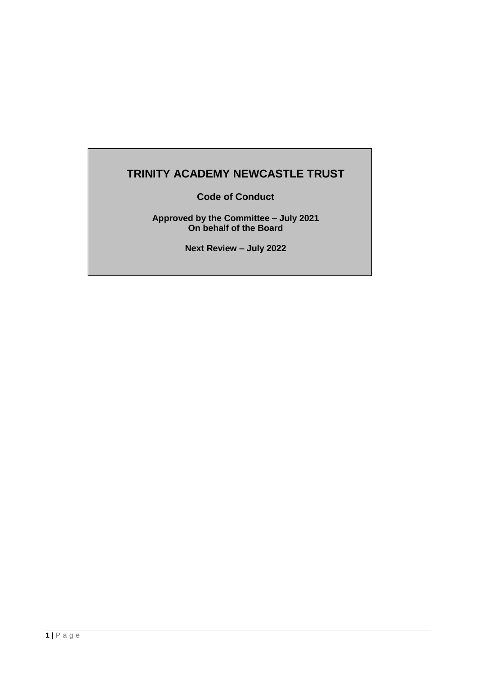# **TRINITY ACADEMY NEWCASTLE TRUST**

**Code of Conduct**

**Approved by the Committee – July 2021 On behalf of the Board**

**Next Review – July 2022**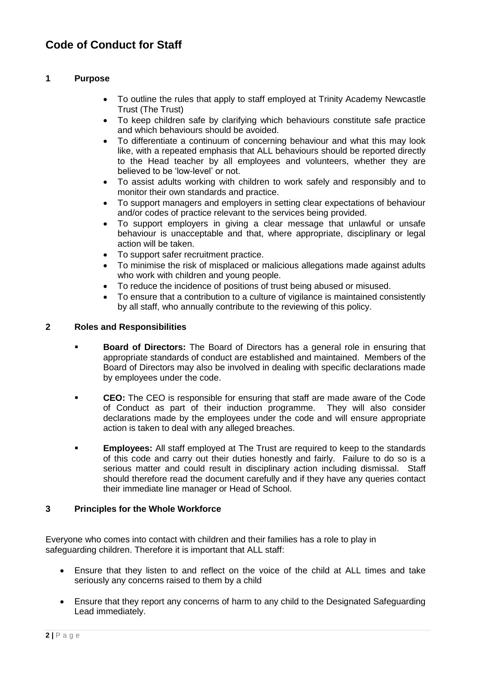## **1 Purpose**

- To outline the rules that apply to staff employed at Trinity Academy Newcastle Trust (The Trust)
- To keep children safe by clarifying which behaviours constitute safe practice and which behaviours should be avoided.
- To differentiate a continuum of concerning behaviour and what this may look like, with a repeated emphasis that ALL behaviours should be reported directly to the Head teacher by all employees and volunteers, whether they are believed to be 'low-level' or not.
- To assist adults working with children to work safely and responsibly and to monitor their own standards and practice.
- To support managers and employers in setting clear expectations of behaviour and/or codes of practice relevant to the services being provided.
- To support employers in giving a clear message that unlawful or unsafe behaviour is unacceptable and that, where appropriate, disciplinary or legal action will be taken.
- To support safer recruitment practice.
- To minimise the risk of misplaced or malicious allegations made against adults who work with children and young people.
- To reduce the incidence of positions of trust being abused or misused.
- To ensure that a contribution to a culture of vigilance is maintained consistently by all staff, who annually contribute to the reviewing of this policy.

## **2 Roles and Responsibilities**

- **Board of Directors:** The Board of Directors has a general role in ensuring that appropriate standards of conduct are established and maintained. Members of the Board of Directors may also be involved in dealing with specific declarations made by employees under the code.
- **CEO:** The CEO is responsible for ensuring that staff are made aware of the Code of Conduct as part of their induction programme. They will also consider declarations made by the employees under the code and will ensure appropriate action is taken to deal with any alleged breaches.
- **Employees:** All staff employed at The Trust are required to keep to the standards of this code and carry out their duties honestly and fairly. Failure to do so is a serious matter and could result in disciplinary action including dismissal. Staff should therefore read the document carefully and if they have any queries contact their immediate line manager or Head of School.

### **3 Principles for the Whole Workforce**

Everyone who comes into contact with children and their families has a role to play in safeguarding children. Therefore it is important that ALL staff:

- Ensure that they listen to and reflect on the voice of the child at ALL times and take seriously any concerns raised to them by a child
- Ensure that they report any concerns of harm to any child to the Designated Safeguarding Lead immediately.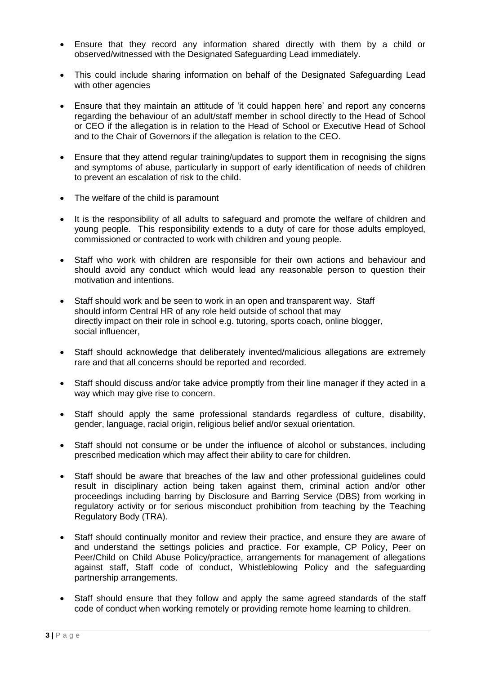- Ensure that they record any information shared directly with them by a child or observed/witnessed with the Designated Safeguarding Lead immediately.
- This could include sharing information on behalf of the Designated Safeguarding Lead with other agencies
- Ensure that they maintain an attitude of 'it could happen here' and report any concerns regarding the behaviour of an adult/staff member in school directly to the Head of School or CEO if the allegation is in relation to the Head of School or Executive Head of School and to the Chair of Governors if the allegation is relation to the CEO.
- Ensure that they attend regular training/updates to support them in recognising the signs and symptoms of abuse, particularly in support of early identification of needs of children to prevent an escalation of risk to the child.
- The welfare of the child is paramount
- It is the responsibility of all adults to safeguard and promote the welfare of children and young people. This responsibility extends to a duty of care for those adults employed, commissioned or contracted to work with children and young people.
- Staff who work with children are responsible for their own actions and behaviour and should avoid any conduct which would lead any reasonable person to question their motivation and intentions.
- Staff should work and be seen to work in an open and transparent way. Staff should inform Central HR of any role held outside of school that may directly impact on their role in school e.g. tutoring, sports coach, online blogger, social influencer,
- Staff should acknowledge that deliberately invented/malicious allegations are extremely rare and that all concerns should be reported and recorded.
- Staff should discuss and/or take advice promptly from their line manager if they acted in a way which may give rise to concern.
- Staff should apply the same professional standards regardless of culture, disability, gender, language, racial origin, religious belief and/or sexual orientation.
- Staff should not consume or be under the influence of alcohol or substances, including prescribed medication which may affect their ability to care for children.
- Staff should be aware that breaches of the law and other professional guidelines could result in disciplinary action being taken against them, criminal action and/or other proceedings including barring by Disclosure and Barring Service (DBS) from working in regulatory activity or for serious misconduct prohibition from teaching by the Teaching Regulatory Body (TRA).
- Staff should continually monitor and review their practice, and ensure they are aware of and understand the settings policies and practice. For example, CP Policy, Peer on Peer/Child on Child Abuse Policy/practice, arrangements for management of allegations against staff, Staff code of conduct, Whistleblowing Policy and the safeguarding partnership arrangements.
- Staff should ensure that they follow and apply the same agreed standards of the staff code of conduct when working remotely or providing remote home learning to children.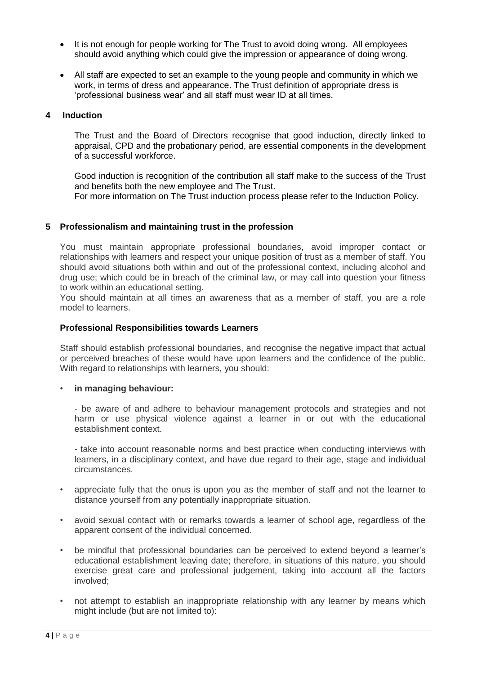- It is not enough for people working for The Trust to avoid doing wrong. All employees should avoid anything which could give the impression or appearance of doing wrong.
- All staff are expected to set an example to the young people and community in which we work, in terms of dress and appearance. The Trust definition of appropriate dress is 'professional business wear' and all staff must wear ID at all times.

#### **4 Induction**

The Trust and the Board of Directors recognise that good induction, directly linked to appraisal, CPD and the probationary period, are essential components in the development of a successful workforce.

Good induction is recognition of the contribution all staff make to the success of the Trust and benefits both the new employee and The Trust.

For more information on The Trust induction process please refer to the Induction Policy.

### **5 Professionalism and maintaining trust in the profession**

You must maintain appropriate professional boundaries, avoid improper contact or relationships with learners and respect your unique position of trust as a member of staff. You should avoid situations both within and out of the professional context, including alcohol and drug use; which could be in breach of the criminal law, or may call into question your fitness to work within an educational setting.

You should maintain at all times an awareness that as a member of staff, you are a role model to learners.

#### **Professional Responsibilities towards Learners**

Staff should establish professional boundaries, and recognise the negative impact that actual or perceived breaches of these would have upon learners and the confidence of the public. With regard to relationships with learners, you should:

#### • **in managing behaviour:**

- be aware of and adhere to behaviour management protocols and strategies and not harm or use physical violence against a learner in or out with the educational establishment context.

- take into account reasonable norms and best practice when conducting interviews with learners, in a disciplinary context, and have due regard to their age, stage and individual circumstances.

- appreciate fully that the onus is upon you as the member of staff and not the learner to distance yourself from any potentially inappropriate situation.
- avoid sexual contact with or remarks towards a learner of school age, regardless of the apparent consent of the individual concerned.
- be mindful that professional boundaries can be perceived to extend beyond a learner's educational establishment leaving date; therefore, in situations of this nature, you should exercise great care and professional judgement, taking into account all the factors involved;
- not attempt to establish an inappropriate relationship with any learner by means which might include (but are not limited to):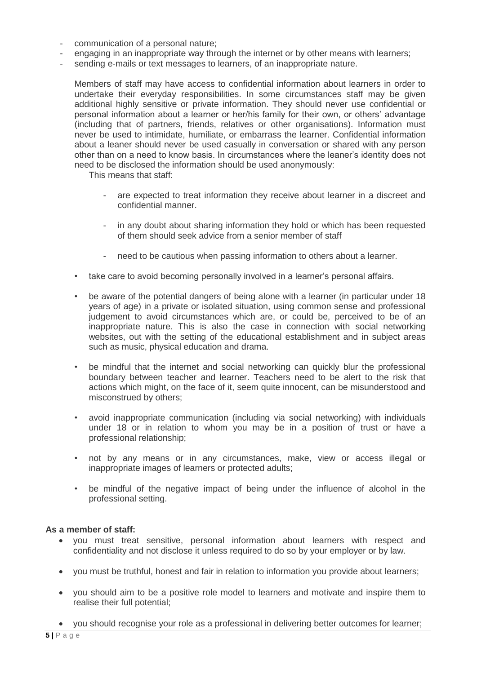- communication of a personal nature;
- engaging in an inappropriate way through the internet or by other means with learners;
- sending e-mails or text messages to learners, of an inappropriate nature.

Members of staff may have access to confidential information about learners in order to undertake their everyday responsibilities. In some circumstances staff may be given additional highly sensitive or private information. They should never use confidential or personal information about a learner or her/his family for their own, or others' advantage (including that of partners, friends, relatives or other organisations). Information must never be used to intimidate, humiliate, or embarrass the learner. Confidential information about a leaner should never be used casually in conversation or shared with any person other than on a need to know basis. In circumstances where the leaner's identity does not need to be disclosed the information should be used anonymously:

This means that staff:

- are expected to treat information they receive about learner in a discreet and confidential manner.
- in any doubt about sharing information they hold or which has been requested of them should seek advice from a senior member of staff
- need to be cautious when passing information to others about a learner.
- take care to avoid becoming personally involved in a learner's personal affairs.
- be aware of the potential dangers of being alone with a learner (in particular under 18 years of age) in a private or isolated situation, using common sense and professional judgement to avoid circumstances which are, or could be, perceived to be of an inappropriate nature. This is also the case in connection with social networking websites, out with the setting of the educational establishment and in subject areas such as music, physical education and drama.
- be mindful that the internet and social networking can quickly blur the professional boundary between teacher and learner. Teachers need to be alert to the risk that actions which might, on the face of it, seem quite innocent, can be misunderstood and misconstrued by others;
- avoid inappropriate communication (including via social networking) with individuals under 18 or in relation to whom you may be in a position of trust or have a professional relationship;
- not by any means or in any circumstances, make, view or access illegal or inappropriate images of learners or protected adults;
- be mindful of the negative impact of being under the influence of alcohol in the professional setting.

#### **As a member of staff:**

- you must treat sensitive, personal information about learners with respect and confidentiality and not disclose it unless required to do so by your employer or by law.
- you must be truthful, honest and fair in relation to information you provide about learners;
- you should aim to be a positive role model to learners and motivate and inspire them to realise their full potential;
- you should recognise your role as a professional in delivering better outcomes for learner;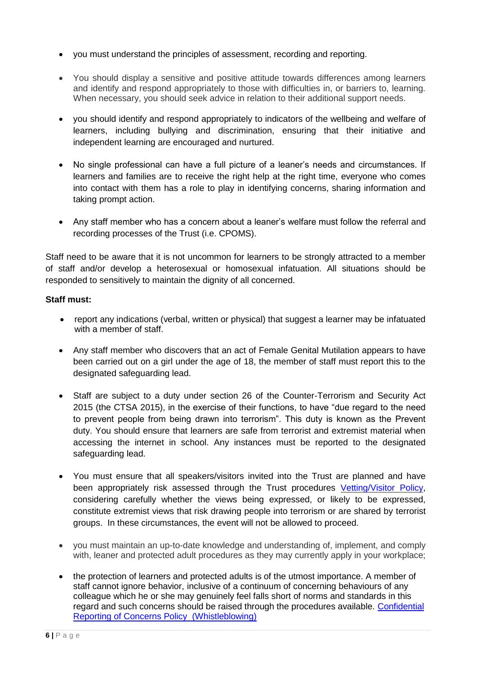- you must understand the principles of assessment, recording and reporting.
- You should display a sensitive and positive attitude towards differences among learners and identify and respond appropriately to those with difficulties in, or barriers to, learning. When necessary, you should seek advice in relation to their additional support needs.
- you should identify and respond appropriately to indicators of the wellbeing and welfare of learners, including bullying and discrimination, ensuring that their initiative and independent learning are encouraged and nurtured.
- No single professional can have a full picture of a leaner's needs and circumstances. If learners and families are to receive the right help at the right time, everyone who comes into contact with them has a role to play in identifying concerns, sharing information and taking prompt action.
- Any staff member who has a concern about a leaner's welfare must follow the referral and recording processes of the Trust (i.e. CPOMS).

Staff need to be aware that it is not uncommon for learners to be strongly attracted to a member of staff and/or develop a heterosexual or homosexual infatuation. All situations should be responded to sensitively to maintain the dignity of all concerned.

# **Staff must:**

- report any indications (verbal, written or physical) that suggest a learner may be infatuated with a member of staff.
- Any staff member who discovers that an act of Female Genital Mutilation appears to have been carried out on a girl under the age of 18, the member of staff must report this to the designated safeguarding lead.
- Staff are subject to a duty under section 26 of the Counter-Terrorism and Security Act 2015 (the CTSA 2015), in the exercise of their functions, to have "due regard to the need to prevent people from being drawn into terrorism". This duty is known as the Prevent duty. You should ensure that learners are safe from terrorist and extremist material when accessing the internet in school. Any instances must be reported to the designated safeguarding lead.
- You must ensure that all speakers/visitors invited into the Trust are planned and have been appropriately risk assessed through the Trust procedures [Vetting/Visitor Policy,](../../Trust%20Policies%201819/Vetting%20and%20Visitors%20Policy%201819.pdf) considering carefully whether the views being expressed, or likely to be expressed, constitute extremist views that risk drawing people into terrorism or are shared by terrorist groups. In these circumstances, the event will not be allowed to proceed.
- you must maintain an up-to-date knowledge and understanding of, implement, and comply with, leaner and protected adult procedures as they may currently apply in your workplace;
- the protection of learners and protected adults is of the utmost importance. A member of staff cannot ignore behavior, inclusive of a continuum of concerning behaviours of any colleague which he or she may genuinely feel falls short of norms and standards in this regard and such concerns should be raised through the procedures available. [Confidential](file://///newcastle/7033dfs/Shared/Information/Policies/Trust%20Policies%2020-21/Whistleblowing%20and%20Confidential%20Reporting%20of%20Concerns%20Policy%2021-22.pdf)  [Reporting of Concerns Policy \(Whistleblowing\)](file://///newcastle/7033dfs/Shared/Information/Policies/Trust%20Policies%2020-21/Whistleblowing%20and%20Confidential%20Reporting%20of%20Concerns%20Policy%2021-22.pdf)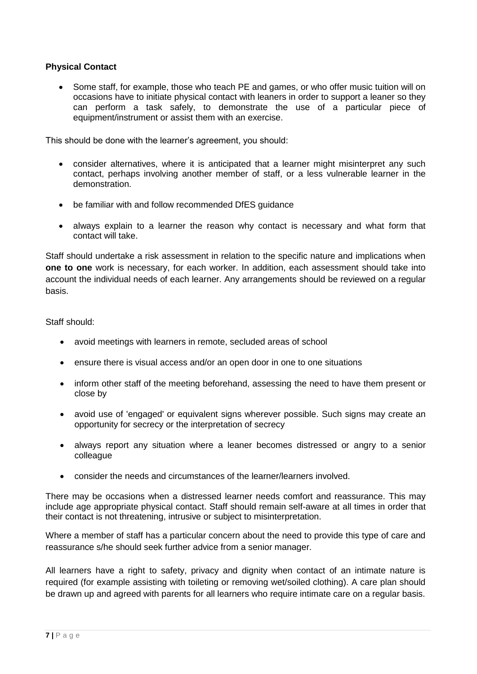# **Physical Contact**

 Some staff, for example, those who teach PE and games, or who offer music tuition will on occasions have to initiate physical contact with leaners in order to support a leaner so they can perform a task safely, to demonstrate the use of a particular piece of equipment/instrument or assist them with an exercise.

This should be done with the learner's agreement, you should:

- consider alternatives, where it is anticipated that a learner might misinterpret any such contact, perhaps involving another member of staff, or a less vulnerable learner in the demonstration.
- be familiar with and follow recommended DfES guidance
- always explain to a learner the reason why contact is necessary and what form that contact will take.

Staff should undertake a risk assessment in relation to the specific nature and implications when **one to one** work is necessary, for each worker. In addition, each assessment should take into account the individual needs of each learner. Any arrangements should be reviewed on a regular basis.

Staff should:

- avoid meetings with learners in remote, secluded areas of school
- ensure there is visual access and/or an open door in one to one situations
- inform other staff of the meeting beforehand, assessing the need to have them present or close by
- avoid use of 'engaged' or equivalent signs wherever possible. Such signs may create an opportunity for secrecy or the interpretation of secrecy
- always report any situation where a leaner becomes distressed or angry to a senior colleague
- consider the needs and circumstances of the learner/learners involved.

There may be occasions when a distressed learner needs comfort and reassurance. This may include age appropriate physical contact. Staff should remain self-aware at all times in order that their contact is not threatening, intrusive or subject to misinterpretation.

Where a member of staff has a particular concern about the need to provide this type of care and reassurance s/he should seek further advice from a senior manager.

All learners have a right to safety, privacy and dignity when contact of an intimate nature is required (for example assisting with toileting or removing wet/soiled clothing). A care plan should be drawn up and agreed with parents for all learners who require intimate care on a regular basis.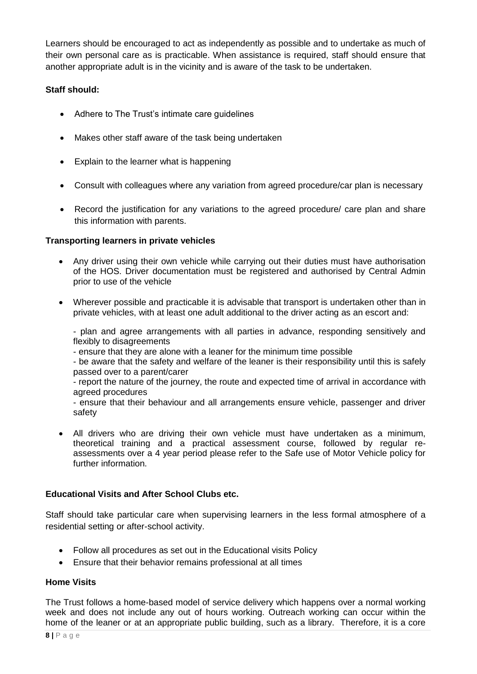Learners should be encouraged to act as independently as possible and to undertake as much of their own personal care as is practicable. When assistance is required, staff should ensure that another appropriate adult is in the vicinity and is aware of the task to be undertaken.

# **Staff should:**

- Adhere to The Trust's intimate care guidelines
- Makes other staff aware of the task being undertaken
- Explain to the learner what is happening
- Consult with colleagues where any variation from agreed procedure/car plan is necessary
- Record the justification for any variations to the agreed procedure/ care plan and share this information with parents.

# **Transporting learners in private vehicles**

- Any driver using their own vehicle while carrying out their duties must have authorisation of the HOS. Driver documentation must be registered and authorised by Central Admin prior to use of the vehicle
- Wherever possible and practicable it is advisable that transport is undertaken other than in private vehicles, with at least one adult additional to the driver acting as an escort and:

- plan and agree arrangements with all parties in advance, responding sensitively and flexibly to disagreements

- ensure that they are alone with a leaner for the minimum time possible

- be aware that the safety and welfare of the leaner is their responsibility until this is safely passed over to a parent/carer

- report the nature of the journey, the route and expected time of arrival in accordance with agreed procedures

- ensure that their behaviour and all arrangements ensure vehicle, passenger and driver safety

 All drivers who are driving their own vehicle must have undertaken as a minimum, theoretical training and a practical assessment course, followed by regular reassessments over a 4 year period please refer to the Safe use of Motor Vehicle policy for further information.

### **Educational Visits and After School Clubs etc.**

Staff should take particular care when supervising learners in the less formal atmosphere of a residential setting or after-school activity.

- Follow all procedures as set out in the Educational visits Policy
- Ensure that their behavior remains professional at all times

### **Home Visits**

The Trust follows a home-based model of service delivery which happens over a normal working week and does not include any out of hours working. Outreach working can occur within the home of the leaner or at an appropriate public building, such as a library. Therefore, it is a core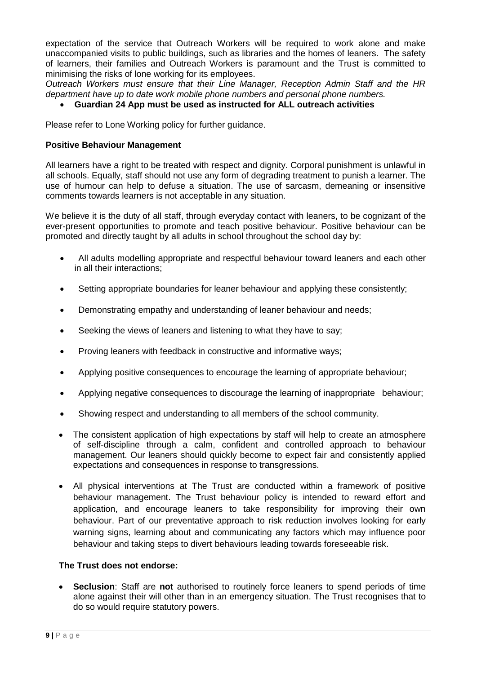expectation of the service that Outreach Workers will be required to work alone and make unaccompanied visits to public buildings, such as libraries and the homes of leaners. The safety of learners, their families and Outreach Workers is paramount and the Trust is committed to minimising the risks of lone working for its employees.

*Outreach Workers must ensure that their Line Manager, Reception Admin Staff and the HR department have up to date work mobile phone numbers and personal phone numbers.*

### **Guardian 24 App must be used as instructed for ALL outreach activities**

Please refer to Lone Working policy for further guidance.

#### **Positive Behaviour Management**

All learners have a right to be treated with respect and dignity. Corporal punishment is unlawful in all schools. Equally, staff should not use any form of degrading treatment to punish a learner. The use of humour can help to defuse a situation. The use of sarcasm, demeaning or insensitive comments towards learners is not acceptable in any situation.

We believe it is the duty of all staff, through everyday contact with leaners, to be cognizant of the ever-present opportunities to promote and teach positive behaviour. Positive behaviour can be promoted and directly taught by all adults in school throughout the school day by:

- All adults modelling appropriate and respectful behaviour toward leaners and each other in all their interactions;
- Setting appropriate boundaries for leaner behaviour and applying these consistently;
- Demonstrating empathy and understanding of leaner behaviour and needs;
- Seeking the views of leaners and listening to what they have to say;
- Proving leaners with feedback in constructive and informative ways;
- Applying positive consequences to encourage the learning of appropriate behaviour;
- Applying negative consequences to discourage the learning of inappropriate behaviour;
- Showing respect and understanding to all members of the school community.
- The consistent application of high expectations by staff will help to create an atmosphere of self-discipline through a calm, confident and controlled approach to behaviour management. Our leaners should quickly become to expect fair and consistently applied expectations and consequences in response to transgressions.
- All physical interventions at The Trust are conducted within a framework of positive behaviour management. The Trust behaviour policy is intended to reward effort and application, and encourage leaners to take responsibility for improving their own behaviour. Part of our preventative approach to risk reduction involves looking for early warning signs, learning about and communicating any factors which may influence poor behaviour and taking steps to divert behaviours leading towards foreseeable risk.

#### **The Trust does not endorse:**

 **Seclusion**: Staff are **not** authorised to routinely force leaners to spend periods of time alone against their will other than in an emergency situation. The Trust recognises that to do so would require statutory powers.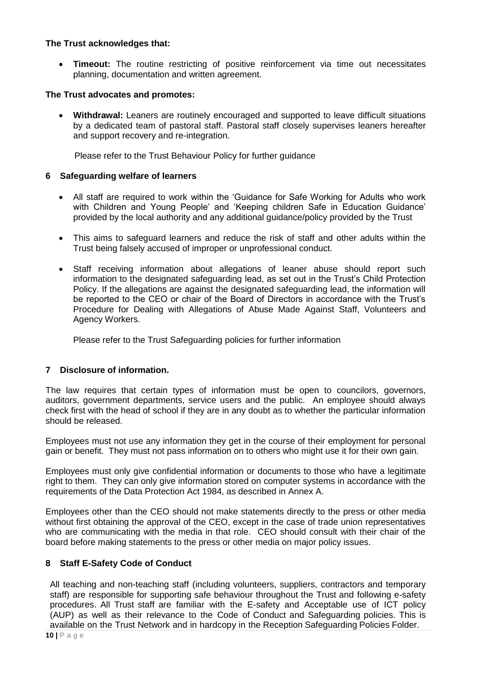#### **The Trust acknowledges that:**

 **Timeout:** The routine restricting of positive reinforcement via time out necessitates planning, documentation and written agreement.

### **The Trust advocates and promotes:**

 **Withdrawal:** Leaners are routinely encouraged and supported to leave difficult situations by a dedicated team of pastoral staff. Pastoral staff closely supervises leaners hereafter and support recovery and re-integration.

Please refer to the Trust Behaviour Policy for further guidance

### **6 Safeguarding welfare of learners**

- All staff are required to work within the 'Guidance for Safe Working for Adults who work with Children and Young People' and 'Keeping children Safe in Education Guidance' provided by the local authority and any additional guidance/policy provided by the Trust
- This aims to safeguard learners and reduce the risk of staff and other adults within the Trust being falsely accused of improper or unprofessional conduct.
- Staff receiving information about allegations of leaner abuse should report such information to the designated safeguarding lead, as set out in the Trust's Child Protection Policy. If the allegations are against the designated safeguarding lead, the information will be reported to the CEO or chair of the Board of Directors in accordance with the Trust's Procedure for Dealing with Allegations of Abuse Made Against Staff, Volunteers and Agency Workers.

Please refer to the Trust Safeguarding policies for further information

# **7 Disclosure of information.**

The law requires that certain types of information must be open to councilors, governors, auditors, government departments, service users and the public. An employee should always check first with the head of school if they are in any doubt as to whether the particular information should be released.

Employees must not use any information they get in the course of their employment for personal gain or benefit. They must not pass information on to others who might use it for their own gain.

Employees must only give confidential information or documents to those who have a legitimate right to them. They can only give information stored on computer systems in accordance with the requirements of the Data Protection Act 1984, as described in Annex A.

Employees other than the CEO should not make statements directly to the press or other media without first obtaining the approval of the CEO, except in the case of trade union representatives who are communicating with the media in that role. CEO should consult with their chair of the board before making statements to the press or other media on major policy issues.

# **8 Staff E-Safety Code of Conduct**

All teaching and non-teaching staff (including volunteers, suppliers, contractors and temporary staff) are responsible for supporting safe behaviour throughout the Trust and following e-safety procedures. All Trust staff are familiar with the E-safety and Acceptable use of ICT policy (AUP) as well as their relevance to the Code of Conduct and Safeguarding policies. This is available on the Trust Network and in hardcopy in the Reception Safeguarding Policies Folder.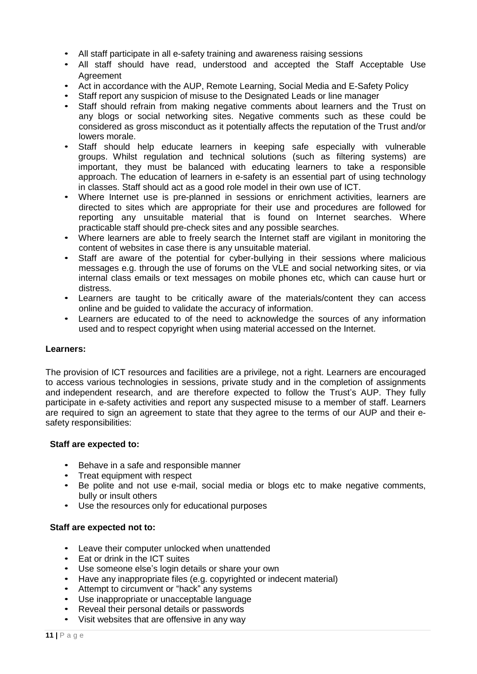- All staff participate in all e-safety training and awareness raising sessions
- All staff should have read, understood and accepted the Staff Acceptable Use Agreement
- Act in accordance with the AUP, Remote Learning, Social Media and E-Safety Policy
- Staff report any suspicion of misuse to the Designated Leads or line manager
- Staff should refrain from making negative comments about learners and the Trust on any blogs or social networking sites. Negative comments such as these could be considered as gross misconduct as it potentially affects the reputation of the Trust and/or lowers morale.
- Staff should help educate learners in keeping safe especially with vulnerable groups. Whilst regulation and technical solutions (such as filtering systems) are important, they must be balanced with educating learners to take a responsible approach. The education of learners in e-safety is an essential part of using technology in classes. Staff should act as a good role model in their own use of ICT.
- Where Internet use is pre-planned in sessions or enrichment activities, learners are directed to sites which are appropriate for their use and procedures are followed for reporting any unsuitable material that is found on Internet searches. Where practicable staff should pre-check sites and any possible searches.
- Where learners are able to freely search the Internet staff are vigilant in monitoring the content of websites in case there is any unsuitable material.
- Staff are aware of the potential for cyber-bullying in their sessions where malicious messages e.g. through the use of forums on the VLE and social networking sites, or via internal class emails or text messages on mobile phones etc, which can cause hurt or distress.
- Learners are taught to be critically aware of the materials/content they can access online and be guided to validate the accuracy of information.
- Learners are educated to of the need to acknowledge the sources of any information used and to respect copyright when using material accessed on the Internet.

### **Learners:**

The provision of ICT resources and facilities are a privilege, not a right. Learners are encouraged to access various technologies in sessions, private study and in the completion of assignments and independent research, and are therefore expected to follow the Trust's AUP. They fully participate in e-safety activities and report any suspected misuse to a member of staff. Learners are required to sign an agreement to state that they agree to the terms of our AUP and their esafety responsibilities:

### **Staff are expected to:**

- Behave in a safe and responsible manner
- Treat equipment with respect
- Be polite and not use e-mail, social media or blogs etc to make negative comments, bully or insult others
- Use the resources only for educational purposes

### **Staff are expected not to:**

- Leave their computer unlocked when unattended
- Eat or drink in the ICT suites
- Use someone else's login details or share your own
- Have any inappropriate files (e.g. copyrighted or indecent material)
- Attempt to circumvent or "hack" any systems
- Use inappropriate or unacceptable language
- Reveal their personal details or passwords
- Visit websites that are offensive in any way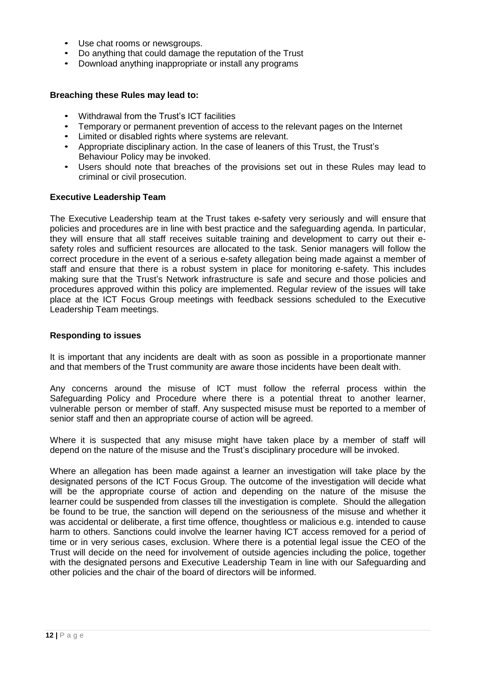- Use chat rooms or newsgroups.
- Do anything that could damage the reputation of the Trust
- Download anything inappropriate or install any programs

#### **Breaching these Rules may lead to:**

- Withdrawal from the Trust's ICT facilities
- Temporary or permanent prevention of access to the relevant pages on the Internet
- Limited or disabled rights where systems are relevant.
- Appropriate disciplinary action. In the case of leaners of this Trust, the Trust's Behaviour Policy may be invoked.
- Users should note that breaches of the provisions set out in these Rules may lead to criminal or civil prosecution.

#### **Executive Leadership Team**

The Executive Leadership team at the Trust takes e-safety very seriously and will ensure that policies and procedures are in line with best practice and the safeguarding agenda. In particular, they will ensure that all staff receives suitable training and development to carry out their esafety roles and sufficient resources are allocated to the task. Senior managers will follow the correct procedure in the event of a serious e-safety allegation being made against a member of staff and ensure that there is a robust system in place for monitoring e-safety. This includes making sure that the Trust's Network infrastructure is safe and secure and those policies and procedures approved within this policy are implemented. Regular review of the issues will take place at the ICT Focus Group meetings with feedback sessions scheduled to the Executive Leadership Team meetings.

#### **Responding to issues**

It is important that any incidents are dealt with as soon as possible in a proportionate manner and that members of the Trust community are aware those incidents have been dealt with.

Any concerns around the misuse of ICT must follow the referral process within the Safeguarding Policy and Procedure where there is a potential threat to another learner, vulnerable person or member of staff. Any suspected misuse must be reported to a member of senior staff and then an appropriate course of action will be agreed.

Where it is suspected that any misuse might have taken place by a member of staff will depend on the nature of the misuse and the Trust's disciplinary procedure will be invoked.

Where an allegation has been made against a learner an investigation will take place by the designated persons of the ICT Focus Group. The outcome of the investigation will decide what will be the appropriate course of action and depending on the nature of the misuse the learner could be suspended from classes till the investigation is complete. Should the allegation be found to be true, the sanction will depend on the seriousness of the misuse and whether it was accidental or deliberate, a first time offence, thoughtless or malicious e.g. intended to cause harm to others. Sanctions could involve the learner having ICT access removed for a period of time or in very serious cases, exclusion. Where there is a potential legal issue the CEO of the Trust will decide on the need for involvement of outside agencies including the police, together with the designated persons and Executive Leadership Team in line with our Safeguarding and other policies and the chair of the board of directors will be informed.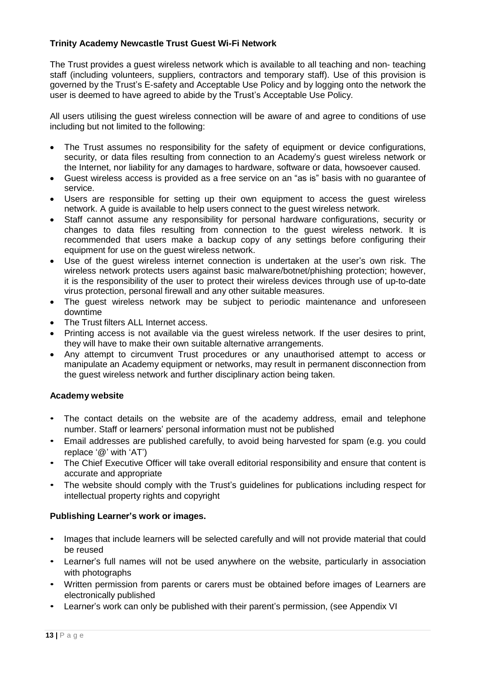# **Trinity Academy Newcastle Trust Guest Wi-Fi Network**

The Trust provides a guest wireless network which is available to all teaching and non- teaching staff (including volunteers, suppliers, contractors and temporary staff). Use of this provision is governed by the Trust's E-safety and Acceptable Use Policy and by logging onto the network the user is deemed to have agreed to abide by the Trust's Acceptable Use Policy.

All users utilising the guest wireless connection will be aware of and agree to conditions of use including but not limited to the following:

- The Trust assumes no responsibility for the safety of equipment or device configurations, security, or data files resulting from connection to an Academy's guest wireless network or the Internet, nor liability for any damages to hardware, software or data, howsoever caused.
- Guest wireless access is provided as a free service on an "as is" basis with no guarantee of service.
- Users are responsible for setting up their own equipment to access the guest wireless network. A guide is available to help users connect to the guest wireless network.
- Staff cannot assume any responsibility for personal hardware configurations, security or changes to data files resulting from connection to the guest wireless network. It is recommended that users make a backup copy of any settings before configuring their equipment for use on the guest wireless network.
- Use of the guest wireless internet connection is undertaken at the user's own risk. The wireless network protects users against basic malware/botnet/phishing protection; however, it is the responsibility of the user to protect their wireless devices through use of up-to-date virus protection, personal firewall and any other suitable measures.
- The guest wireless network may be subject to periodic maintenance and unforeseen downtime
- The Trust filters ALL Internet access.
- Printing access is not available via the guest wireless network. If the user desires to print, they will have to make their own suitable alternative arrangements.
- Any attempt to circumvent Trust procedures or any unauthorised attempt to access or manipulate an Academy equipment or networks, may result in permanent disconnection from the guest wireless network and further disciplinary action being taken.

### **Academy website**

- The contact details on the website are of the academy address, email and telephone number. Staff or learners' personal information must not be published
- Email addresses are published carefully, to avoid being harvested for spam (e.g. you could replace '@' with 'AT')
- The Chief Executive Officer will take overall editorial responsibility and ensure that content is accurate and appropriate
- The website should comply with the Trust's guidelines for publications including respect for intellectual property rights and copyright

# **Publishing Learner's work or images.**

- Images that include learners will be selected carefully and will not provide material that could be reused
- Learner's full names will not be used anywhere on the website, particularly in association with photographs
- Written permission from parents or carers must be obtained before images of Learners are electronically published
- Learner's work can only be published with their parent's permission, (see Appendix VI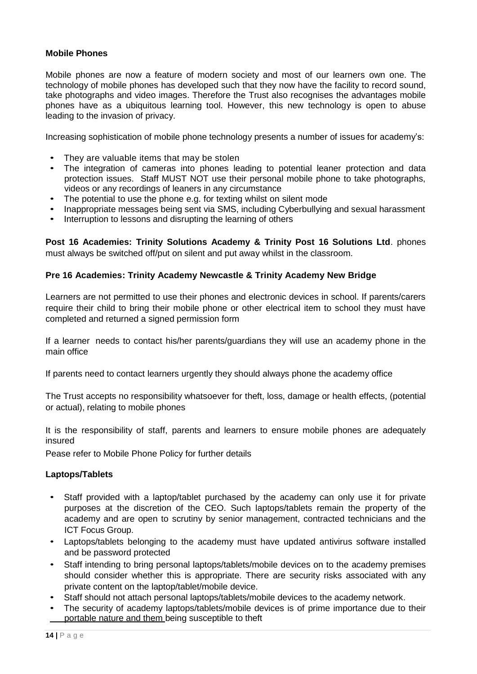#### **Mobile Phones**

Mobile phones are now a feature of modern society and most of our learners own one. The technology of mobile phones has developed such that they now have the facility to record sound, take photographs and video images. Therefore the Trust also recognises the advantages mobile phones have as a ubiquitous learning tool. However, this new technology is open to abuse leading to the invasion of privacy.

Increasing sophistication of mobile phone technology presents a number of issues for academy's:

- They are valuable items that may be stolen
- The integration of cameras into phones leading to potential leaner protection and data protection issues. Staff MUST NOT use their personal mobile phone to take photographs, videos or any recordings of leaners in any circumstance
- The potential to use the phone e.g. for texting whilst on silent mode
- Inappropriate messages being sent via SMS, including Cyberbullying and sexual harassment
- Interruption to lessons and disrupting the learning of others

**Post 16 Academies: Trinity Solutions Academy & Trinity Post 16 Solutions Ltd**. phones must always be switched off/put on silent and put away whilst in the classroom.

#### **Pre 16 Academies: Trinity Academy Newcastle & Trinity Academy New Bridge**

Learners are not permitted to use their phones and electronic devices in school. If parents/carers require their child to bring their mobile phone or other electrical item to school they must have completed and returned a signed permission form

If a learner needs to contact his/her parents/guardians they will use an academy phone in the main office

If parents need to contact learners urgently they should always phone the academy office

The Trust accepts no responsibility whatsoever for theft, loss, damage or health effects, (potential or actual), relating to mobile phones

It is the responsibility of staff, parents and learners to ensure mobile phones are adequately insured

Pease refer to Mobile Phone Policy for further details

### **Laptops/Tablets**

- Staff provided with a laptop/tablet purchased by the academy can only use it for private purposes at the discretion of the CEO. Such laptops/tablets remain the property of the academy and are open to scrutiny by senior management, contracted technicians and the ICT Focus Group.
- Laptops/tablets belonging to the academy must have updated antivirus software installed and be password protected
- Staff intending to bring personal laptops/tablets/mobile devices on to the academy premises should consider whether this is appropriate. There are security risks associated with any private content on the laptop/tablet/mobile device.
- Staff should not attach personal laptops/tablets/mobile devices to the academy network.
- The security of academy laptops/tablets/mobile devices is of prime importance due to their portable nature and them being susceptible to theft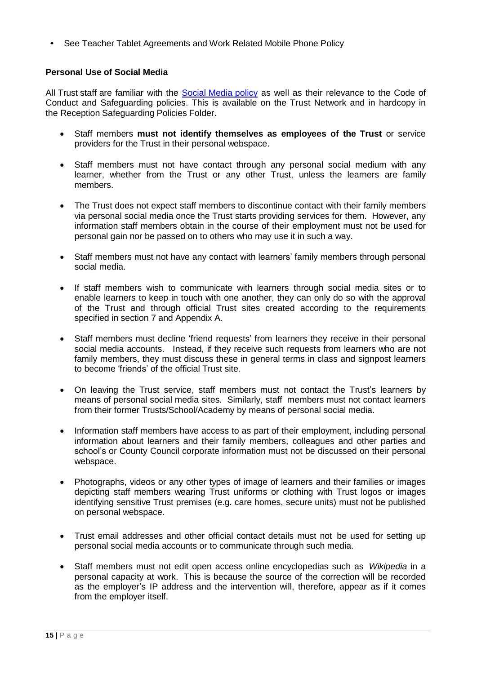• See Teacher Tablet Agreements and Work Related Mobile Phone Policy

### **Personal Use of Social Media**

All Trust staff are familiar with the [Social Media policy](file://///newcastle/7033dfs/Shared/Information/Policies/Trust%20Policies%2020-21/Social%20Media%20Policy%2020.21.pdf) as well as their relevance to the Code of Conduct and Safeguarding policies. This is available on the Trust Network and in hardcopy in the Reception Safeguarding Policies Folder.

- Staff members **must not identify themselves as employees of the Trust** or service providers for the Trust in their personal webspace.
- Staff members must not have contact through any personal social medium with any learner, whether from the Trust or any other Trust, unless the learners are family members.
- The Trust does not expect staff members to discontinue contact with their family members via personal social media once the Trust starts providing services for them. However, any information staff members obtain in the course of their employment must not be used for personal gain nor be passed on to others who may use it in such a way.
- Staff members must not have any contact with learners' family members through personal social media.
- If staff members wish to communicate with learners through social media sites or to enable learners to keep in touch with one another, they can only do so with the approval of the Trust and through official Trust sites created according to the requirements specified in section 7 and Appendix A.
- Staff members must decline 'friend requests' from learners they receive in their personal social media accounts. Instead, if they receive such requests from learners who are not family members, they must discuss these in general terms in class and signpost learners to become 'friends' of the official Trust site.
- On leaving the Trust service, staff members must not contact the Trust's learners by means of personal social media sites. Similarly, staff members must not contact learners from their former Trusts/School/Academy by means of personal social media.
- Information staff members have access to as part of their employment, including personal information about learners and their family members, colleagues and other parties and school's or County Council corporate information must not be discussed on their personal webspace.
- Photographs, videos or any other types of image of learners and their families or images depicting staff members wearing Trust uniforms or clothing with Trust logos or images identifying sensitive Trust premises (e.g. care homes, secure units) must not be published on personal webspace.
- Trust email addresses and other official contact details must not be used for setting up personal social media accounts or to communicate through such media.
- Staff members must not edit open access online encyclopedias such as *Wikipedia* in a personal capacity at work. This is because the source of the correction will be recorded as the employer's IP address and the intervention will, therefore, appear as if it comes from the employer itself.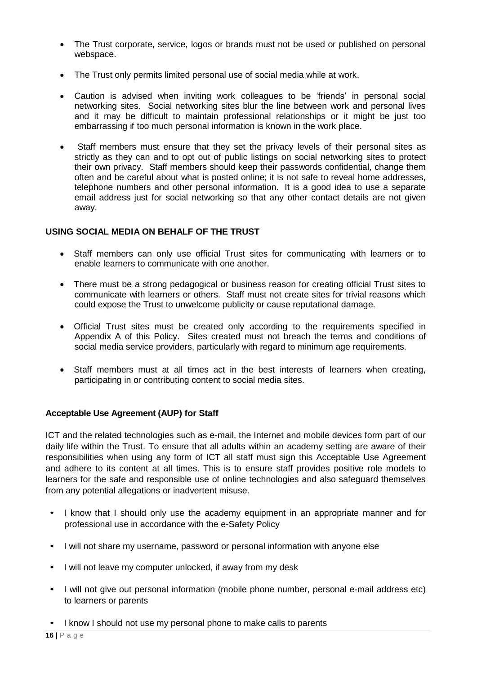- The Trust corporate, service, logos or brands must not be used or published on personal webspace.
- The Trust only permits limited personal use of social media while at work.
- Caution is advised when inviting work colleagues to be 'friends' in personal social networking sites. Social networking sites blur the line between work and personal lives and it may be difficult to maintain professional relationships or it might be just too embarrassing if too much personal information is known in the work place.
- Staff members must ensure that they set the privacy levels of their personal sites as strictly as they can and to opt out of public listings on social networking sites to protect their own privacy. Staff members should keep their passwords confidential, change them often and be careful about what is posted online; it is not safe to reveal home addresses, telephone numbers and other personal information. It is a good idea to use a separate email address just for social networking so that any other contact details are not given away.

#### **USING SOCIAL MEDIA ON BEHALF OF THE TRUST**

- Staff members can only use official Trust sites for communicating with learners or to enable learners to communicate with one another.
- There must be a strong pedagogical or business reason for creating official Trust sites to communicate with learners or others. Staff must not create sites for trivial reasons which could expose the Trust to unwelcome publicity or cause reputational damage.
- Official Trust sites must be created only according to the requirements specified in Appendix A of this Policy. Sites created must not breach the terms and conditions of social media service providers, particularly with regard to minimum age requirements.
- Staff members must at all times act in the best interests of learners when creating, participating in or contributing content to social media sites.

#### **Acceptable Use Agreement (AUP) for Staff**

ICT and the related technologies such as e-mail, the Internet and mobile devices form part of our daily life within the Trust. To ensure that all adults within an academy setting are aware of their responsibilities when using any form of ICT all staff must sign this Acceptable Use Agreement and adhere to its content at all times. This is to ensure staff provides positive role models to learners for the safe and responsible use of online technologies and also safeguard themselves from any potential allegations or inadvertent misuse.

- I know that I should only use the academy equipment in an appropriate manner and for professional use in accordance with the e-Safety Policy
- I will not share my username, password or personal information with anyone else
- I will not leave my computer unlocked, if away from my desk
- I will not give out personal information (mobile phone number, personal e-mail address etc) to learners or parents
- I know I should not use my personal phone to make calls to parents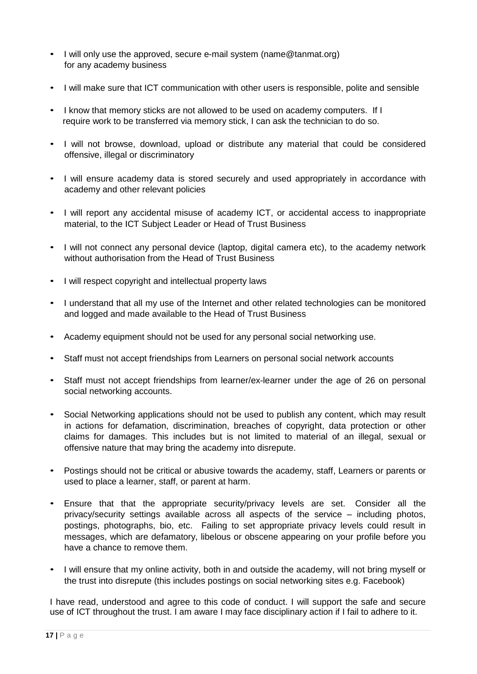- I will only use the approved, secure e-mail system (name@tanmat.org) for any academy business
- I will make sure that ICT communication with other users is responsible, polite and sensible
- I know that memory sticks are not allowed to be used on academy computers. If I require work to be transferred via memory stick, I can ask the technician to do so.
- I will not browse, download, upload or distribute any material that could be considered offensive, illegal or discriminatory
- I will ensure academy data is stored securely and used appropriately in accordance with academy and other relevant policies
- I will report any accidental misuse of academy ICT, or accidental access to inappropriate material, to the ICT Subject Leader or Head of Trust Business
- I will not connect any personal device (laptop, digital camera etc), to the academy network without authorisation from the Head of Trust Business
- I will respect copyright and intellectual property laws
- I understand that all my use of the Internet and other related technologies can be monitored and logged and made available to the Head of Trust Business
- Academy equipment should not be used for any personal social networking use.
- Staff must not accept friendships from Learners on personal social network accounts
- Staff must not accept friendships from learner/ex-learner under the age of 26 on personal social networking accounts.
- Social Networking applications should not be used to publish any content, which may result in actions for defamation, discrimination, breaches of copyright, data protection or other claims for damages. This includes but is not limited to material of an illegal, sexual or offensive nature that may bring the academy into disrepute.
- Postings should not be critical or abusive towards the academy, staff, Learners or parents or used to place a learner, staff, or parent at harm.
- Ensure that that the appropriate security/privacy levels are set. Consider all the privacy/security settings available across all aspects of the service – including photos, postings, photographs, bio, etc. Failing to set appropriate privacy levels could result in messages, which are defamatory, libelous or obscene appearing on your profile before you have a chance to remove them.
- I will ensure that my online activity, both in and outside the academy, will not bring myself or the trust into disrepute (this includes postings on social networking sites e.g. Facebook)

I have read, understood and agree to this code of conduct. I will support the safe and secure use of ICT throughout the trust. I am aware I may face disciplinary action if I fail to adhere to it.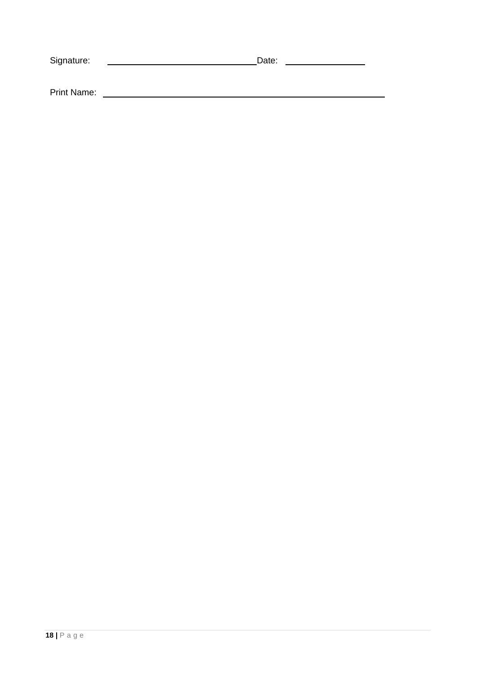| Signature:  | Date: |  |
|-------------|-------|--|
|             |       |  |
| Print Name: |       |  |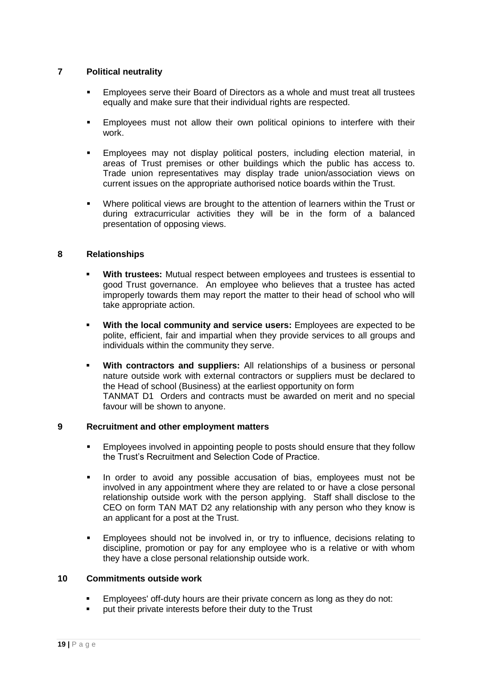# **7 Political neutrality**

- Employees serve their Board of Directors as a whole and must treat all trustees equally and make sure that their individual rights are respected.
- Employees must not allow their own political opinions to interfere with their work.
- Employees may not display political posters, including election material, in areas of Trust premises or other buildings which the public has access to. Trade union representatives may display trade union/association views on current issues on the appropriate authorised notice boards within the Trust.
- Where political views are brought to the attention of learners within the Trust or during extracurricular activities they will be in the form of a balanced presentation of opposing views.

### **8 Relationships**

- **With trustees:** Mutual respect between employees and trustees is essential to good Trust governance. An employee who believes that a trustee has acted improperly towards them may report the matter to their head of school who will take appropriate action.
- **With the local community and service users:** Employees are expected to be polite, efficient, fair and impartial when they provide services to all groups and individuals within the community they serve.
- **With contractors and suppliers:** All relationships of a business or personal nature outside work with external contractors or suppliers must be declared to the Head of school (Business) at the earliest opportunity on form TANMAT D1 Orders and contracts must be awarded on merit and no special favour will be shown to anyone.

### **9 Recruitment and other employment matters**

- Employees involved in appointing people to posts should ensure that they follow the Trust's Recruitment and Selection Code of Practice.
- In order to avoid any possible accusation of bias, employees must not be involved in any appointment where they are related to or have a close personal relationship outside work with the person applying. Staff shall disclose to the CEO on form TAN MAT D2 any relationship with any person who they know is an applicant for a post at the Trust.
- Employees should not be involved in, or try to influence, decisions relating to discipline, promotion or pay for any employee who is a relative or with whom they have a close personal relationship outside work.

### **10 Commitments outside work**

- **Employees' off-duty hours are their private concern as long as they do not:**
- put their private interests before their duty to the Trust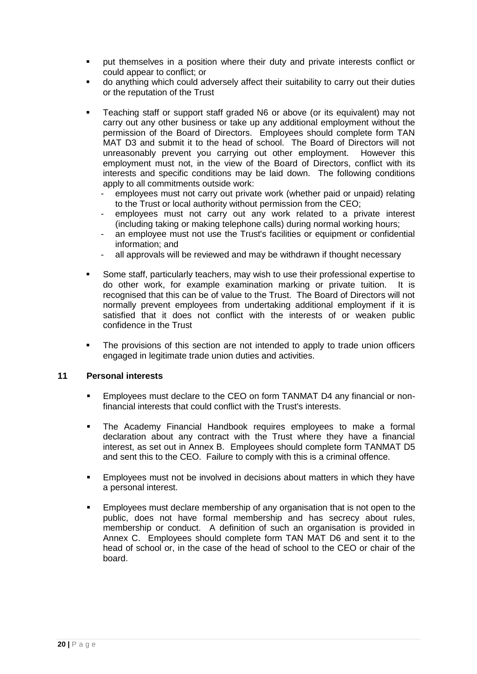- **•** put themselves in a position where their duty and private interests conflict or could appear to conflict; or
- do anything which could adversely affect their suitability to carry out their duties or the reputation of the Trust
- Teaching staff or support staff graded N6 or above (or its equivalent) may not carry out any other business or take up any additional employment without the permission of the Board of Directors. Employees should complete form TAN MAT D3 and submit it to the head of school. The Board of Directors will not unreasonably prevent you carrying out other employment. However this employment must not, in the view of the Board of Directors, conflict with its interests and specific conditions may be laid down. The following conditions apply to all commitments outside work:
	- employees must not carry out private work (whether paid or unpaid) relating to the Trust or local authority without permission from the CEO;
	- employees must not carry out any work related to a private interest (including taking or making telephone calls) during normal working hours;
	- an employee must not use the Trust's facilities or equipment or confidential information; and
	- all approvals will be reviewed and may be withdrawn if thought necessary
- Some staff, particularly teachers, may wish to use their professional expertise to do other work, for example examination marking or private tuition. It is recognised that this can be of value to the Trust. The Board of Directors will not normally prevent employees from undertaking additional employment if it is satisfied that it does not conflict with the interests of or weaken public confidence in the Trust
- The provisions of this section are not intended to apply to trade union officers engaged in legitimate trade union duties and activities.

### **11 Personal interests**

- **Employees must declare to the CEO on form TANMAT D4 any financial or non**financial interests that could conflict with the Trust's interests.
- The Academy Financial Handbook requires employees to make a formal declaration about any contract with the Trust where they have a financial interest, as set out in Annex B. Employees should complete form TANMAT D5 and sent this to the CEO. Failure to comply with this is a criminal offence.
- **Employees must not be involved in decisions about matters in which they have** a personal interest.
- Employees must declare membership of any organisation that is not open to the public, does not have formal membership and has secrecy about rules, membership or conduct. A definition of such an organisation is provided in Annex C. Employees should complete form TAN MAT D6 and sent it to the head of school or, in the case of the head of school to the CEO or chair of the board.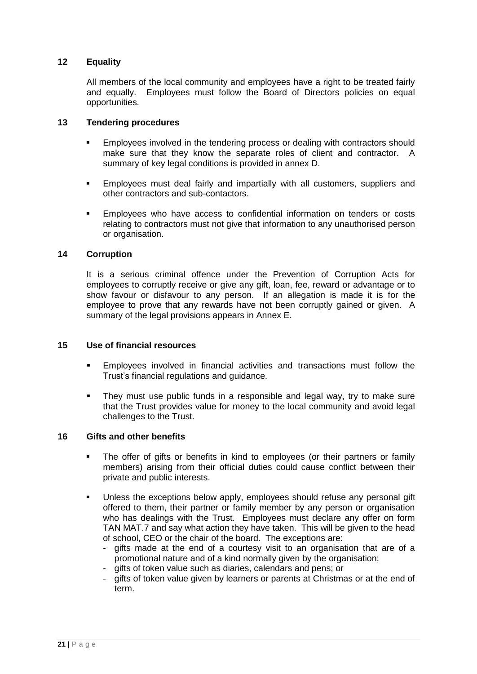## **12 Equality**

All members of the local community and employees have a right to be treated fairly and equally. Employees must follow the Board of Directors policies on equal opportunities.

### **13 Tendering procedures**

- Employees involved in the tendering process or dealing with contractors should make sure that they know the separate roles of client and contractor. A summary of key legal conditions is provided in annex D.
- Employees must deal fairly and impartially with all customers, suppliers and other contractors and sub-contactors.
- Employees who have access to confidential information on tenders or costs relating to contractors must not give that information to any unauthorised person or organisation.

#### **14 Corruption**

It is a serious criminal offence under the Prevention of Corruption Acts for employees to corruptly receive or give any gift, loan, fee, reward or advantage or to show favour or disfavour to any person. If an allegation is made it is for the employee to prove that any rewards have not been corruptly gained or given. A summary of the legal provisions appears in Annex E.

## **15 Use of financial resources**

- Employees involved in financial activities and transactions must follow the Trust's financial regulations and guidance.
- They must use public funds in a responsible and legal way, try to make sure that the Trust provides value for money to the local community and avoid legal challenges to the Trust.

#### **16 Gifts and other benefits**

- The offer of gifts or benefits in kind to employees (or their partners or family members) arising from their official duties could cause conflict between their private and public interests.
- Unless the exceptions below apply, employees should refuse any personal gift offered to them, their partner or family member by any person or organisation who has dealings with the Trust. Employees must declare any offer on form TAN MAT.7 and say what action they have taken. This will be given to the head of school, CEO or the chair of the board. The exceptions are:
	- gifts made at the end of a courtesy visit to an organisation that are of a promotional nature and of a kind normally given by the organisation;
	- qifts of token value such as diaries, calendars and pens; or
	- gifts of token value given by learners or parents at Christmas or at the end of term.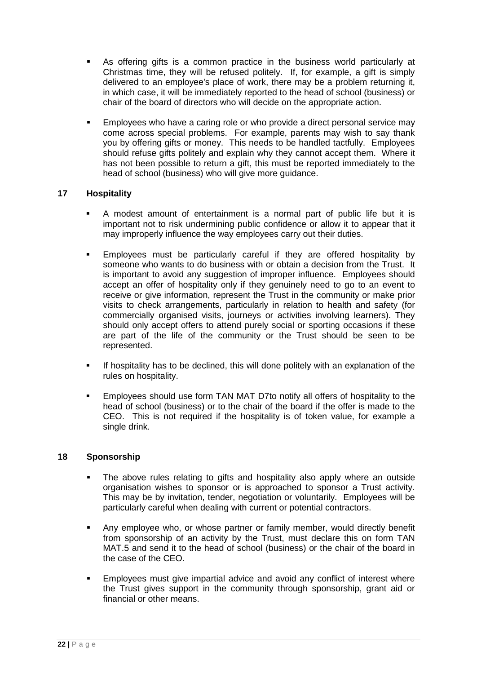- As offering gifts is a common practice in the business world particularly at Christmas time, they will be refused politely. If, for example, a gift is simply delivered to an employee's place of work, there may be a problem returning it, in which case, it will be immediately reported to the head of school (business) or chair of the board of directors who will decide on the appropriate action.
- Employees who have a caring role or who provide a direct personal service may come across special problems. For example, parents may wish to say thank you by offering gifts or money. This needs to be handled tactfully. Employees should refuse gifts politely and explain why they cannot accept them. Where it has not been possible to return a gift, this must be reported immediately to the head of school (business) who will give more guidance.

# **17 Hospitality**

- A modest amount of entertainment is a normal part of public life but it is important not to risk undermining public confidence or allow it to appear that it may improperly influence the way employees carry out their duties.
- Employees must be particularly careful if they are offered hospitality by someone who wants to do business with or obtain a decision from the Trust. It is important to avoid any suggestion of improper influence. Employees should accept an offer of hospitality only if they genuinely need to go to an event to receive or give information, represent the Trust in the community or make prior visits to check arrangements, particularly in relation to health and safety (for commercially organised visits, journeys or activities involving learners). They should only accept offers to attend purely social or sporting occasions if these are part of the life of the community or the Trust should be seen to be represented.
- If hospitality has to be declined, this will done politely with an explanation of the rules on hospitality.
- **Employees should use form TAN MAT D7to notify all offers of hospitality to the** head of school (business) or to the chair of the board if the offer is made to the CEO. This is not required if the hospitality is of token value, for example a single drink.

### **18 Sponsorship**

- The above rules relating to gifts and hospitality also apply where an outside organisation wishes to sponsor or is approached to sponsor a Trust activity. This may be by invitation, tender, negotiation or voluntarily. Employees will be particularly careful when dealing with current or potential contractors.
- Any employee who, or whose partner or family member, would directly benefit from sponsorship of an activity by the Trust, must declare this on form TAN MAT.5 and send it to the head of school (business) or the chair of the board in the case of the CEO.
- Employees must give impartial advice and avoid any conflict of interest where the Trust gives support in the community through sponsorship, grant aid or financial or other means.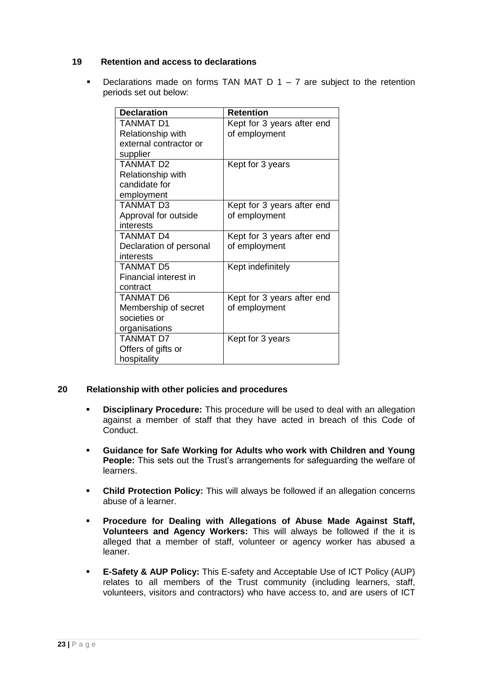### **19 Retention and access to declarations**

**•** Declarations made on forms TAN MAT D  $1 - 7$  are subject to the retention periods set out below:

| <b>Declaration</b>      | <b>Retention</b>           |
|-------------------------|----------------------------|
| <b>TANMAT D1</b>        | Kept for 3 years after end |
| Relationship with       | of employment              |
| external contractor or  |                            |
| supplier                |                            |
| TANMAT D2               | Kept for 3 years           |
| Relationship with       |                            |
| candidate for           |                            |
| employment              |                            |
| <b>TANMAT D3</b>        | Kept for 3 years after end |
| Approval for outside    | of employment              |
| interests               |                            |
| <b>TANMAT D4</b>        | Kept for 3 years after end |
| Declaration of personal | of employment              |
| interests               |                            |
| <b>TANMAT D5</b>        | Kept indefinitely          |
| Financial interest in   |                            |
| contract                |                            |
| <b>TANMAT D6</b>        | Kept for 3 years after end |
| Membership of secret    | of employment              |
| societies or            |                            |
| organisations           |                            |
| <b>TANMAT D7</b>        | Kept for 3 years           |
| Offers of gifts or      |                            |
| hospitality             |                            |

### **20 Relationship with other policies and procedures**

- **Disciplinary Procedure:** This procedure will be used to deal with an allegation against a member of staff that they have acted in breach of this Code of Conduct.
- **Guidance for Safe Working for Adults who work with Children and Young People:** This sets out the Trust's arrangements for safeguarding the welfare of learners.
- **Child Protection Policy:** This will always be followed if an allegation concerns abuse of a learner.
- **Procedure for Dealing with Allegations of Abuse Made Against Staff, Volunteers and Agency Workers:** This will always be followed if the it is alleged that a member of staff, volunteer or agency worker has abused a leaner.
- **E-Safety & AUP Policy:** This E-safety and Acceptable Use of ICT Policy (AUP) relates to all members of the Trust community (including learners, staff, volunteers, visitors and contractors) who have access to, and are users of ICT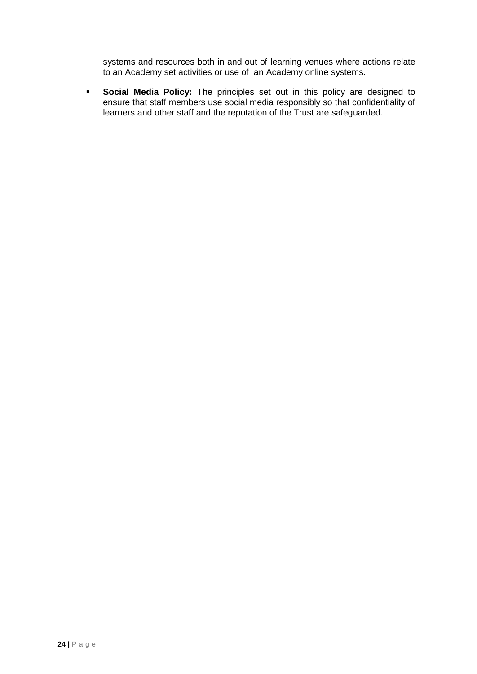systems and resources both in and out of learning venues where actions relate to an Academy set activities or use of an Academy online systems.

 **Social Media Policy:** The principles set out in this policy are designed to ensure that staff members use social media responsibly so that confidentiality of learners and other staff and the reputation of the Trust are safeguarded.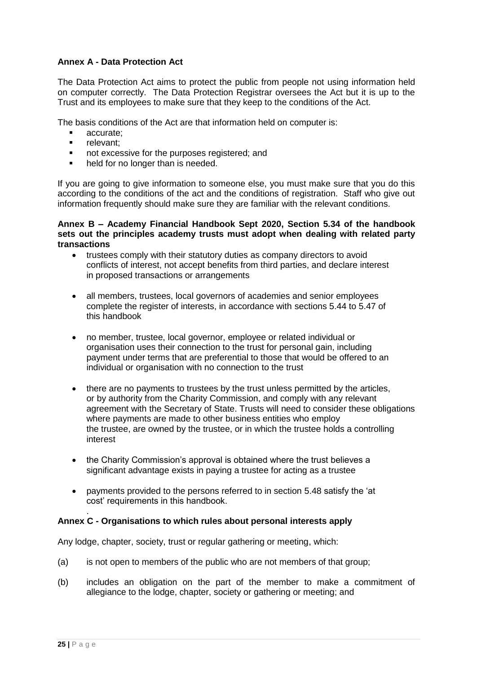# **Annex A - Data Protection Act**

The Data Protection Act aims to protect the public from people not using information held on computer correctly. The Data Protection Registrar oversees the Act but it is up to the Trust and its employees to make sure that they keep to the conditions of the Act.

The basis conditions of the Act are that information held on computer is:

- **accurate:**
- relevant;
- not excessive for the purposes registered; and
- held for no longer than is needed.

If you are going to give information to someone else, you must make sure that you do this according to the conditions of the act and the conditions of registration. Staff who give out information frequently should make sure they are familiar with the relevant conditions.

#### **Annex B – Academy Financial Handbook Sept 2020, Section 5.34 of the handbook sets out the principles academy trusts must adopt when dealing with related party transactions**

- trustees comply with their statutory duties as company directors to avoid conflicts of interest, not accept benefits from third parties, and declare interest in proposed transactions or arrangements
- all members, trustees, local governors of academies and senior employees complete the register of interests, in accordance with sections 5.44 to 5.47 of this handbook
- no member, trustee, local governor, employee or related individual or organisation uses their connection to the trust for personal gain, including payment under terms that are preferential to those that would be offered to an individual or organisation with no connection to the trust
- there are no payments to trustees by the trust unless permitted by the articles, or by authority from the Charity Commission, and comply with any relevant agreement with the Secretary of State. Trusts will need to consider these obligations where payments are made to other business entities who employ the trustee, are owned by the trustee, or in which the trustee holds a controlling interest
- the Charity Commission's approval is obtained where the trust believes a significant advantage exists in paying a trustee for acting as a trustee
- payments provided to the persons referred to in section 5.48 satisfy the 'at cost' requirements in this handbook.

### **Annex C - Organisations to which rules about personal interests apply**

Any lodge, chapter, society, trust or regular gathering or meeting, which:

- (a) is not open to members of the public who are not members of that group;
- (b) includes an obligation on the part of the member to make a commitment of allegiance to the lodge, chapter, society or gathering or meeting; and

.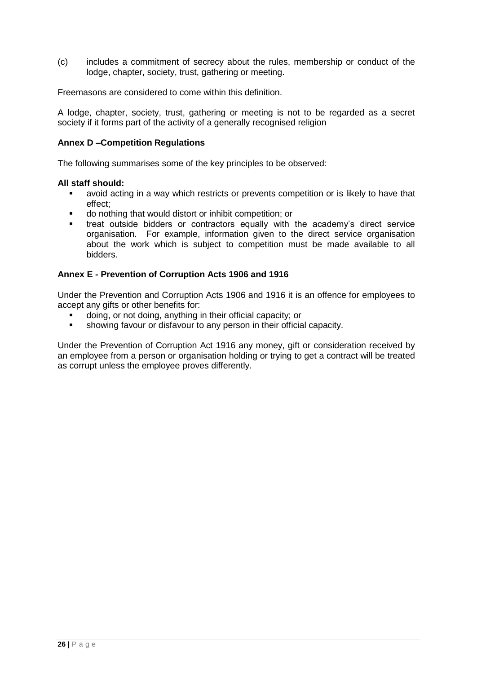(c) includes a commitment of secrecy about the rules, membership or conduct of the lodge, chapter, society, trust, gathering or meeting.

Freemasons are considered to come within this definition.

A lodge, chapter, society, trust, gathering or meeting is not to be regarded as a secret society if it forms part of the activity of a generally recognised religion

#### **Annex D –Competition Regulations**

The following summarises some of the key principles to be observed:

#### **All staff should:**

- avoid acting in a way which restricts or prevents competition or is likely to have that effect;
- do nothing that would distort or inhibit competition; or
- treat outside bidders or contractors equally with the academy's direct service organisation. For example, information given to the direct service organisation about the work which is subject to competition must be made available to all bidders.

### **Annex E - Prevention of Corruption Acts 1906 and 1916**

Under the Prevention and Corruption Acts 1906 and 1916 it is an offence for employees to accept any gifts or other benefits for:

- doing, or not doing, anything in their official capacity; or
- showing favour or disfavour to any person in their official capacity.

Under the Prevention of Corruption Act 1916 any money, gift or consideration received by an employee from a person or organisation holding or trying to get a contract will be treated as corrupt unless the employee proves differently.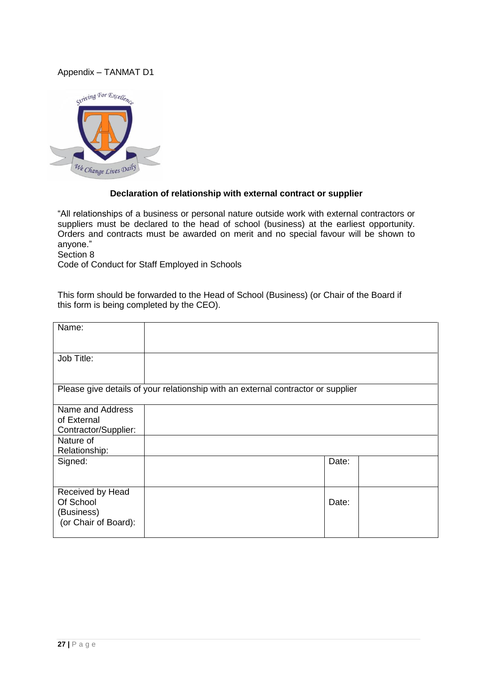# Appendix – TANMAT D1



### **Declaration of relationship with external contract or supplier**

"All relationships of a business or personal nature outside work with external contractors or suppliers must be declared to the head of school (business) at the earliest opportunity. Orders and contracts must be awarded on merit and no special favour will be shown to anyone."

Section 8

Code of Conduct for Staff Employed in Schools

This form should be forwarded to the Head of School (Business) (or Chair of the Board if this form is being completed by the CEO).

| Name:                                                               |                                                                                  |  |
|---------------------------------------------------------------------|----------------------------------------------------------------------------------|--|
| Job Title:                                                          |                                                                                  |  |
|                                                                     | Please give details of your relationship with an external contractor or supplier |  |
| Name and Address                                                    |                                                                                  |  |
| of External                                                         |                                                                                  |  |
| Contractor/Supplier:                                                |                                                                                  |  |
| Nature of                                                           |                                                                                  |  |
| Relationship:                                                       |                                                                                  |  |
| Signed:                                                             | Date:                                                                            |  |
| Received by Head<br>Of School<br>(Business)<br>(or Chair of Board): | Date:                                                                            |  |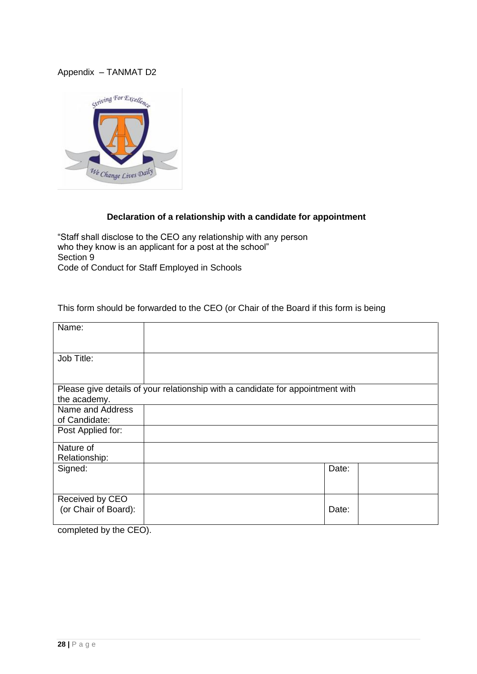# Appendix – TANMAT D2



# **Declaration of a relationship with a candidate for appointment**

"Staff shall disclose to the CEO any relationship with any person who they know is an applicant for a post at the school" Section 9 Code of Conduct for Staff Employed in Schools

This form should be forwarded to the CEO (or Chair of the Board if this form is being

| Name:                                   |                                                                                |  |
|-----------------------------------------|--------------------------------------------------------------------------------|--|
| Job Title:                              |                                                                                |  |
| the academy.                            | Please give details of your relationship with a candidate for appointment with |  |
| Name and Address                        |                                                                                |  |
| of Candidate:                           |                                                                                |  |
| Post Applied for:                       |                                                                                |  |
| Nature of<br>Relationship:              |                                                                                |  |
| Signed:                                 | Date:                                                                          |  |
| Received by CEO<br>(or Chair of Board): | Date:                                                                          |  |

completed by the CEO).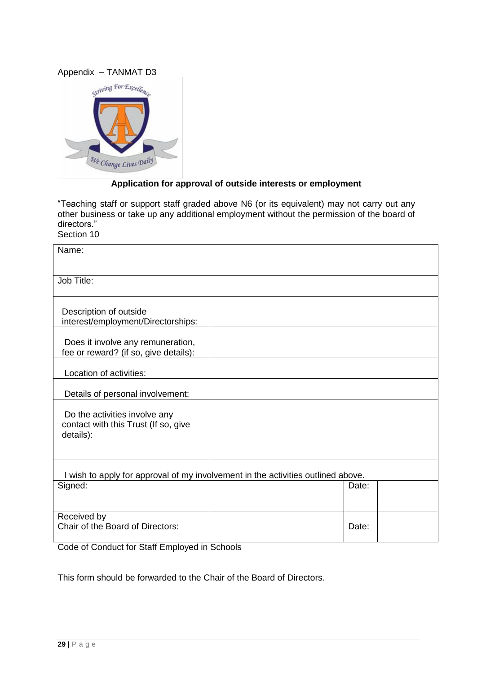

# **Application for approval of outside interests or employment**

"Teaching staff or support staff graded above N6 (or its equivalent) may not carry out any other business or take up any additional employment without the permission of the board of directors."

Section 10

| Name:                                 |                                                                                  |  |
|---------------------------------------|----------------------------------------------------------------------------------|--|
|                                       |                                                                                  |  |
| Job Title:                            |                                                                                  |  |
|                                       |                                                                                  |  |
| Description of outside                |                                                                                  |  |
| interest/employment/Directorships:    |                                                                                  |  |
| Does it involve any remuneration,     |                                                                                  |  |
| fee or reward? (if so, give details): |                                                                                  |  |
|                                       |                                                                                  |  |
| Location of activities:               |                                                                                  |  |
| Details of personal involvement:      |                                                                                  |  |
| Do the activities involve any         |                                                                                  |  |
| contact with this Trust (If so, give  |                                                                                  |  |
| details):                             |                                                                                  |  |
|                                       |                                                                                  |  |
|                                       |                                                                                  |  |
|                                       | I wish to apply for approval of my involvement in the activities outlined above. |  |
| Signed:                               | Date:                                                                            |  |
|                                       |                                                                                  |  |
| Received by                           |                                                                                  |  |
| Chair of the Board of Directors:      | Date:                                                                            |  |
|                                       |                                                                                  |  |

Code of Conduct for Staff Employed in Schools

This form should be forwarded to the Chair of the Board of Directors.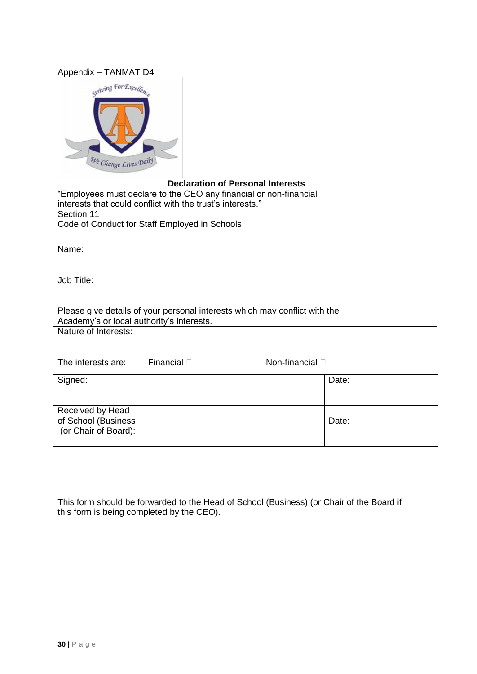### Appendix – TANMAT D4



# **Declaration of Personal Interests**

"Employees must declare to the CEO any financial or non-financial interests that could conflict with the trust's interests." Section 11 Code of Conduct for Staff Employed in Schools

| Name:                                                           |                                                                            |       |  |
|-----------------------------------------------------------------|----------------------------------------------------------------------------|-------|--|
| Job Title:                                                      |                                                                            |       |  |
|                                                                 | Please give details of your personal interests which may conflict with the |       |  |
| Academy's or local authority's interests.                       |                                                                            |       |  |
| Nature of Interests:                                            |                                                                            |       |  |
| The interests are:                                              | Financial $\square$<br>Non-financial $\square$                             |       |  |
| Signed:                                                         |                                                                            | Date: |  |
| Received by Head<br>of School (Business<br>(or Chair of Board): |                                                                            | Date: |  |

This form should be forwarded to the Head of School (Business) (or Chair of the Board if this form is being completed by the CEO).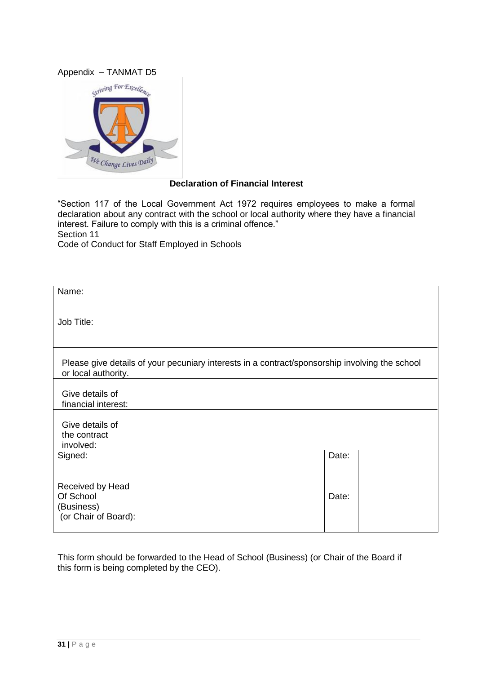

# **Declaration of Financial Interest**

"Section 117 of the Local Government Act 1972 requires employees to make a formal declaration about any contract with the school or local authority where they have a financial interest. Failure to comply with this is a criminal offence." Section 11

Code of Conduct for Staff Employed in Schools

| Name:                                                               |                                                                                                |       |  |
|---------------------------------------------------------------------|------------------------------------------------------------------------------------------------|-------|--|
| Job Title:                                                          |                                                                                                |       |  |
| or local authority.                                                 | Please give details of your pecuniary interests in a contract/sponsorship involving the school |       |  |
| Give details of<br>financial interest:                              |                                                                                                |       |  |
| Give details of<br>the contract<br>involved:                        |                                                                                                |       |  |
| Signed:                                                             |                                                                                                | Date: |  |
| Received by Head<br>Of School<br>(Business)<br>(or Chair of Board): |                                                                                                | Date: |  |

This form should be forwarded to the Head of School (Business) (or Chair of the Board if this form is being completed by the CEO).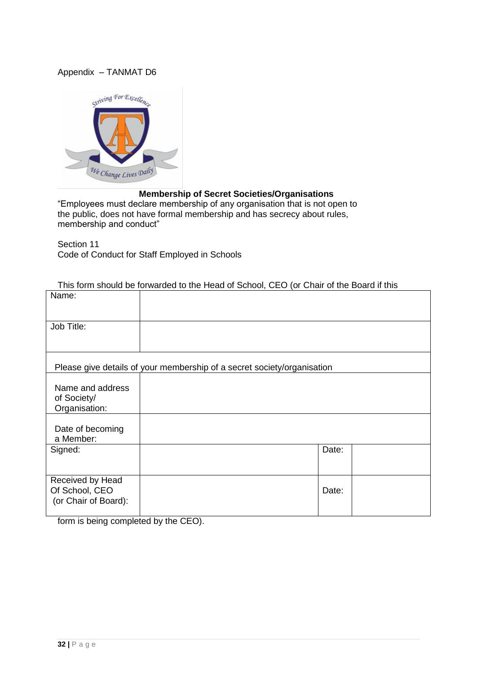# Appendix – TANMAT D6



### **Membership of Secret Societies/Organisations**

"Employees must declare membership of any organisation that is not open to the public, does not have formal membership and has secrecy about rules, membership and conduct"

Section 11 Code of Conduct for Staff Employed in Schools

| Name:                                                      |                                                                         |       |  |
|------------------------------------------------------------|-------------------------------------------------------------------------|-------|--|
| Job Title:                                                 |                                                                         |       |  |
|                                                            |                                                                         |       |  |
|                                                            | Please give details of your membership of a secret society/organisation |       |  |
| Name and address<br>of Society/<br>Organisation:           |                                                                         |       |  |
| Date of becoming<br>a Member:                              |                                                                         |       |  |
| Signed:                                                    |                                                                         | Date: |  |
| Received by Head<br>Of School, CEO<br>(or Chair of Board): |                                                                         | Date: |  |

form is being completed by the CEO).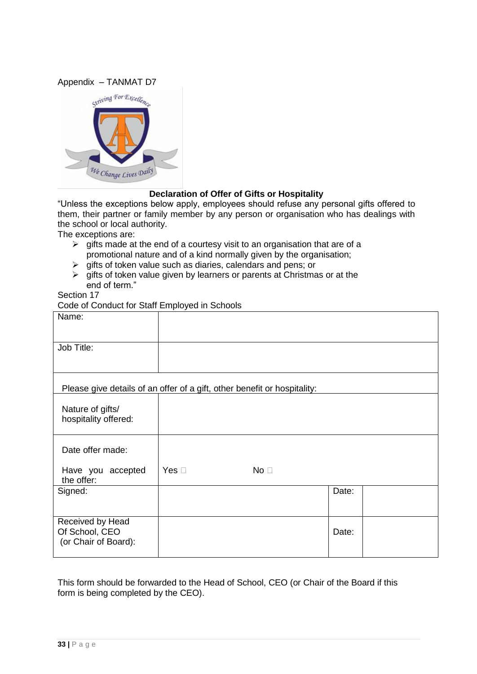#### Appendix – TANMAT D7



### **Declaration of Offer of Gifts or Hospitality**

"Unless the exceptions below apply, employees should refuse any personal gifts offered to them, their partner or family member by any person or organisation who has dealings with the school or local authority.

The exceptions are:

- $\triangleright$  gifts made at the end of a courtesy visit to an organisation that are of a promotional nature and of a kind normally given by the organisation;
- gifts of token value such as diaries, calendars and pens; or
- $\triangleright$  gifts of token value given by learners or parents at Christmas or at the end of term."

### Section 17

Code of Conduct for Staff Employed in Schools

| Name:                                                      |                                                                          |       |  |
|------------------------------------------------------------|--------------------------------------------------------------------------|-------|--|
|                                                            |                                                                          |       |  |
| Job Title:                                                 |                                                                          |       |  |
|                                                            |                                                                          |       |  |
|                                                            | Please give details of an offer of a gift, other benefit or hospitality: |       |  |
| Nature of gifts/<br>hospitality offered:                   |                                                                          |       |  |
| Date offer made:                                           |                                                                          |       |  |
| Have you accepted<br>the offer:                            | Yes $\square$<br>No <sub>1</sub>                                         |       |  |
| Signed:                                                    |                                                                          | Date: |  |
|                                                            |                                                                          |       |  |
| Received by Head<br>Of School, CEO<br>(or Chair of Board): |                                                                          | Date: |  |

This form should be forwarded to the Head of School, CEO (or Chair of the Board if this form is being completed by the CEO).